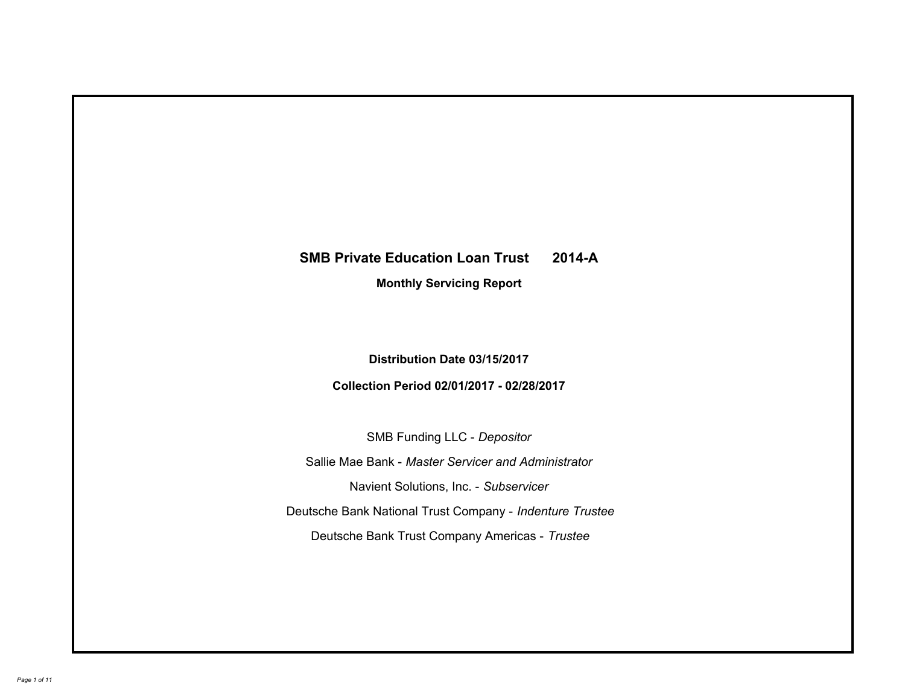# **SMB Private Education Loan Trust 2014-A Monthly Servicing Report**

# **Distribution Date 03/15/2017**

# **Collection Period 02/01/2017 - 02/28/2017**

SMB Funding LLC - *Depositor*

Sallie Mae Bank - *Master Servicer and Administrator*

Navient Solutions, Inc. - *Subservicer*

Deutsche Bank National Trust Company - *Indenture Trustee*

Deutsche Bank Trust Company Americas - *Trustee*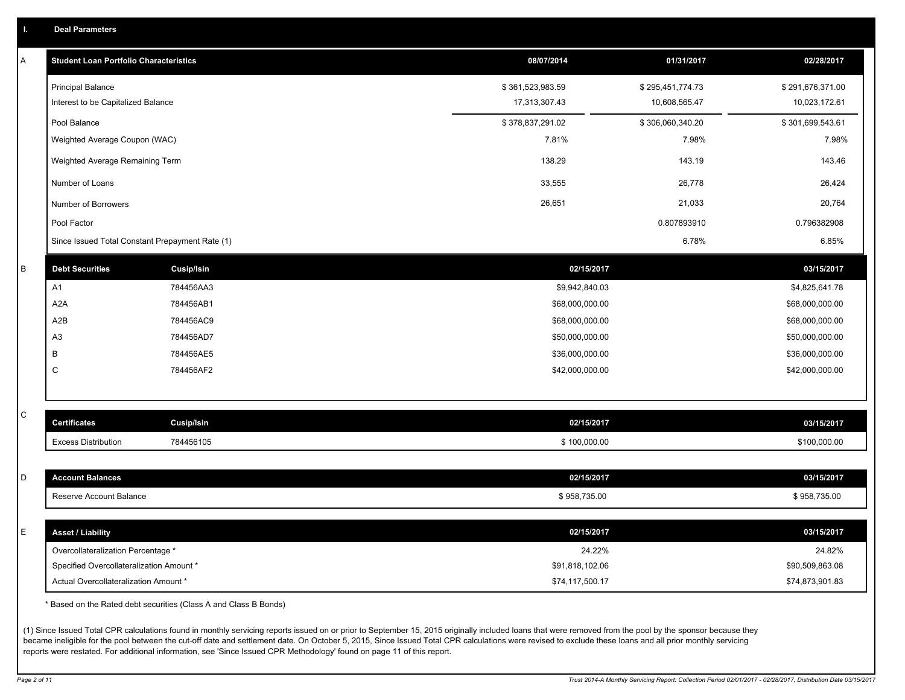|  | <b>Deal Parameters</b> |  |
|--|------------------------|--|
|  |                        |  |

| Α            | <b>Student Loan Portfolio Characteristics</b>   |                   | 08/07/2014       | 01/31/2017       | 02/28/2017       |
|--------------|-------------------------------------------------|-------------------|------------------|------------------|------------------|
|              | <b>Principal Balance</b>                        |                   | \$361,523,983.59 | \$295,451,774.73 | \$291,676,371.00 |
|              | Interest to be Capitalized Balance              |                   | 17,313,307.43    | 10,608,565.47    | 10,023,172.61    |
|              | Pool Balance                                    |                   | \$378,837,291.02 | \$306,060,340.20 | \$301,699,543.61 |
|              | Weighted Average Coupon (WAC)                   |                   | 7.81%            | 7.98%            | 7.98%            |
|              | Weighted Average Remaining Term                 |                   | 138.29           | 143.19           | 143.46           |
|              | Number of Loans                                 |                   | 33,555           | 26,778           | 26,424           |
|              | Number of Borrowers                             |                   | 26,651           | 21,033           | 20,764           |
|              | Pool Factor                                     |                   |                  | 0.807893910      | 0.796382908      |
|              | Since Issued Total Constant Prepayment Rate (1) |                   |                  | 6.78%            | 6.85%            |
| В            | <b>Debt Securities</b>                          | <b>Cusip/Isin</b> | 02/15/2017       |                  | 03/15/2017       |
|              | A1                                              | 784456AA3         | \$9,942,840.03   |                  | \$4,825,641.78   |
|              | A <sub>2</sub> A                                | 784456AB1         | \$68,000,000.00  |                  | \$68,000,000.00  |
|              | A2B                                             | 784456AC9         | \$68,000,000.00  |                  | \$68,000,000.00  |
|              | A <sub>3</sub>                                  | 784456AD7         | \$50,000,000.00  |                  | \$50,000,000.00  |
|              | В                                               | 784456AE5         | \$36,000,000.00  |                  | \$36,000,000.00  |
|              | C                                               | 784456AF2         | \$42,000,000.00  |                  | \$42,000,000.00  |
|              |                                                 |                   |                  |                  |                  |
| $\mathsf{C}$ | <b>Certificates</b>                             | <b>Cusip/Isin</b> | 02/15/2017       |                  | 03/15/2017       |
|              |                                                 |                   |                  |                  |                  |
|              | <b>Excess Distribution</b>                      | 784456105         | \$100,000.00     |                  | \$100,000.00     |
| D            | <b>Account Balances</b>                         |                   | 02/15/2017       |                  | 03/15/2017       |
|              | Reserve Account Balance                         |                   | \$958,735.00     |                  | \$958,735.00     |
|              |                                                 |                   |                  |                  |                  |
| Е            | <b>Asset / Liability</b>                        |                   | 02/15/2017       |                  | 03/15/2017       |
|              | Overcollateralization Percentage *              |                   | 24.22%           |                  | 24.82%           |
|              | Specified Overcollateralization Amount *        |                   | \$91,818,102.06  |                  | \$90,509,863.08  |
|              | Actual Overcollateralization Amount *           |                   | \$74,117,500.17  |                  | \$74,873,901.83  |

\* Based on the Rated debt securities (Class A and Class B Bonds)

(1) Since Issued Total CPR calculations found in monthly servicing reports issued on or prior to September 15, 2015 originally included loans that were removed from the pool by the sponsor because they became ineligible for the pool between the cut-off date and settlement date. On October 5, 2015, Since Issued Total CPR calculations were revised to exclude these loans and all prior monthly servicing reports were restated. For additional information, see 'Since Issued CPR Methodology' found on page 11 of this report.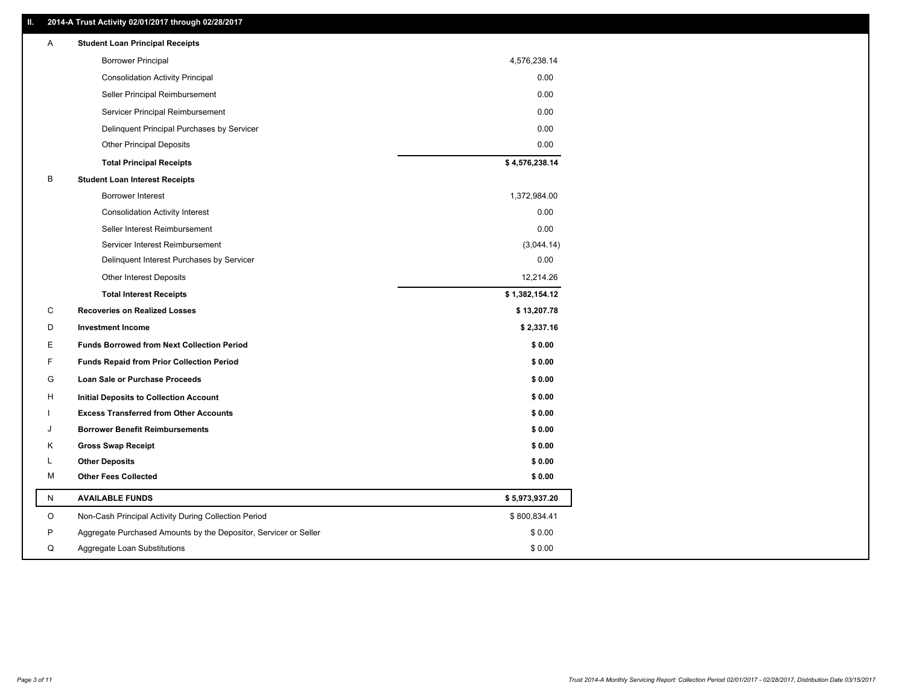### **II. 2014-A Trust Activity 02/01/2017 through 02/28/2017**

| Α | <b>Student Loan Principal Receipts</b>                           |                |
|---|------------------------------------------------------------------|----------------|
|   | <b>Borrower Principal</b>                                        | 4,576,238.14   |
|   | <b>Consolidation Activity Principal</b>                          | 0.00           |
|   | Seller Principal Reimbursement                                   | 0.00           |
|   | Servicer Principal Reimbursement                                 | 0.00           |
|   | Delinquent Principal Purchases by Servicer                       | 0.00           |
|   | <b>Other Principal Deposits</b>                                  | 0.00           |
|   | <b>Total Principal Receipts</b>                                  | \$4,576,238.14 |
| В | <b>Student Loan Interest Receipts</b>                            |                |
|   | Borrower Interest                                                | 1,372,984.00   |
|   | <b>Consolidation Activity Interest</b>                           | 0.00           |
|   | Seller Interest Reimbursement                                    | 0.00           |
|   | Servicer Interest Reimbursement                                  | (3,044.14)     |
|   | Delinquent Interest Purchases by Servicer                        | 0.00           |
|   | <b>Other Interest Deposits</b>                                   | 12,214.26      |
|   | <b>Total Interest Receipts</b>                                   | \$1,382,154.12 |
| C | <b>Recoveries on Realized Losses</b>                             | \$13,207.78    |
| D | <b>Investment Income</b>                                         | \$2,337.16     |
| Е | <b>Funds Borrowed from Next Collection Period</b>                | \$0.00         |
| F | <b>Funds Repaid from Prior Collection Period</b>                 | \$0.00         |
| G | Loan Sale or Purchase Proceeds                                   | \$0.00         |
| н | <b>Initial Deposits to Collection Account</b>                    | \$0.00         |
|   | <b>Excess Transferred from Other Accounts</b>                    | \$0.00         |
| J | <b>Borrower Benefit Reimbursements</b>                           | \$0.00         |
| κ | <b>Gross Swap Receipt</b>                                        | \$0.00         |
| L | <b>Other Deposits</b>                                            | \$0.00         |
| М | <b>Other Fees Collected</b>                                      | \$0.00         |
| N | <b>AVAILABLE FUNDS</b>                                           | \$5,973,937.20 |
| O | Non-Cash Principal Activity During Collection Period             | \$800,834.41   |
| P | Aggregate Purchased Amounts by the Depositor, Servicer or Seller | \$0.00         |
| Q | Aggregate Loan Substitutions                                     | \$0.00         |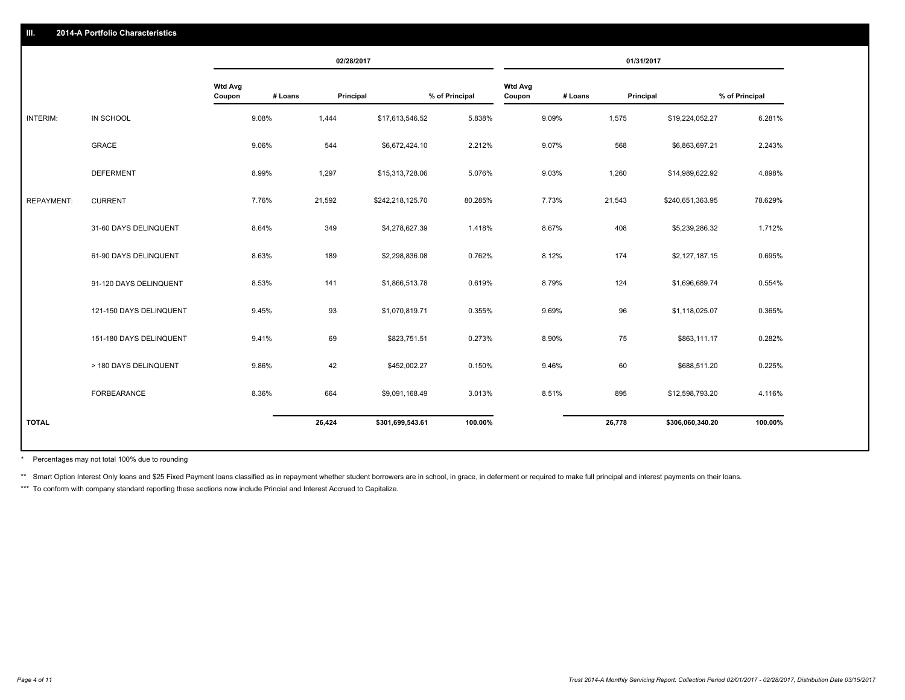|                   |                         |                   | 02/28/2017 |           |                  | 01/31/2017     |                          |         |           |                  |                |
|-------------------|-------------------------|-------------------|------------|-----------|------------------|----------------|--------------------------|---------|-----------|------------------|----------------|
|                   |                         | Wtd Avg<br>Coupon | # Loans    | Principal |                  | % of Principal | <b>Wtd Avg</b><br>Coupon | # Loans | Principal |                  | % of Principal |
| INTERIM:          | IN SCHOOL               | 9.08%             |            | 1,444     | \$17,613,546.52  | 5.838%         |                          | 9.09%   | 1,575     | \$19,224,052.27  | 6.281%         |
|                   | <b>GRACE</b>            | 9.06%             |            | 544       | \$6,672,424.10   | 2.212%         |                          | 9.07%   | 568       | \$6,863,697.21   | 2.243%         |
|                   | <b>DEFERMENT</b>        | 8.99%             |            | 1,297     | \$15,313,728.06  | 5.076%         |                          | 9.03%   | 1,260     | \$14,989,622.92  | 4.898%         |
| <b>REPAYMENT:</b> | <b>CURRENT</b>          | 7.76%             |            | 21,592    | \$242,218,125.70 | 80.285%        |                          | 7.73%   | 21,543    | \$240,651,363.95 | 78.629%        |
|                   | 31-60 DAYS DELINQUENT   | 8.64%             |            | 349       | \$4,278,627.39   | 1.418%         |                          | 8.67%   | 408       | \$5,239,286.32   | 1.712%         |
|                   | 61-90 DAYS DELINQUENT   | 8.63%             |            | 189       | \$2,298,836.08   | 0.762%         |                          | 8.12%   | 174       | \$2,127,187.15   | 0.695%         |
|                   | 91-120 DAYS DELINQUENT  | 8.53%             |            | 141       | \$1,866,513.78   | 0.619%         |                          | 8.79%   | 124       | \$1,696,689.74   | 0.554%         |
|                   | 121-150 DAYS DELINQUENT | 9.45%             |            | 93        | \$1,070,819.71   | 0.355%         |                          | 9.69%   | 96        | \$1,118,025.07   | 0.365%         |
|                   | 151-180 DAYS DELINQUENT | 9.41%             |            | 69        | \$823,751.51     | 0.273%         |                          | 8.90%   | 75        | \$863,111.17     | 0.282%         |
|                   | > 180 DAYS DELINQUENT   | 9.86%             |            | 42        | \$452,002.27     | 0.150%         |                          | 9.46%   | 60        | \$688,511.20     | 0.225%         |
|                   | <b>FORBEARANCE</b>      | 8.36%             |            | 664       | \$9,091,168.49   | 3.013%         |                          | 8.51%   | 895       | \$12,598,793.20  | 4.116%         |
| <b>TOTAL</b>      |                         |                   |            | 26,424    | \$301,699,543.61 | 100.00%        |                          |         | 26,778    | \$306,060,340.20 | 100.00%        |
|                   |                         |                   |            |           |                  |                |                          |         |           |                  |                |

Percentages may not total 100% due to rounding \*

\*\* Smart Option Interest Only loans and \$25 Fixed Payment loans classified as in repayment whether student borrowers are in school, in grace, in deferment or required to make full principal and interest payments on their l

\*\*\* To conform with company standard reporting these sections now include Princial and Interest Accrued to Capitalize.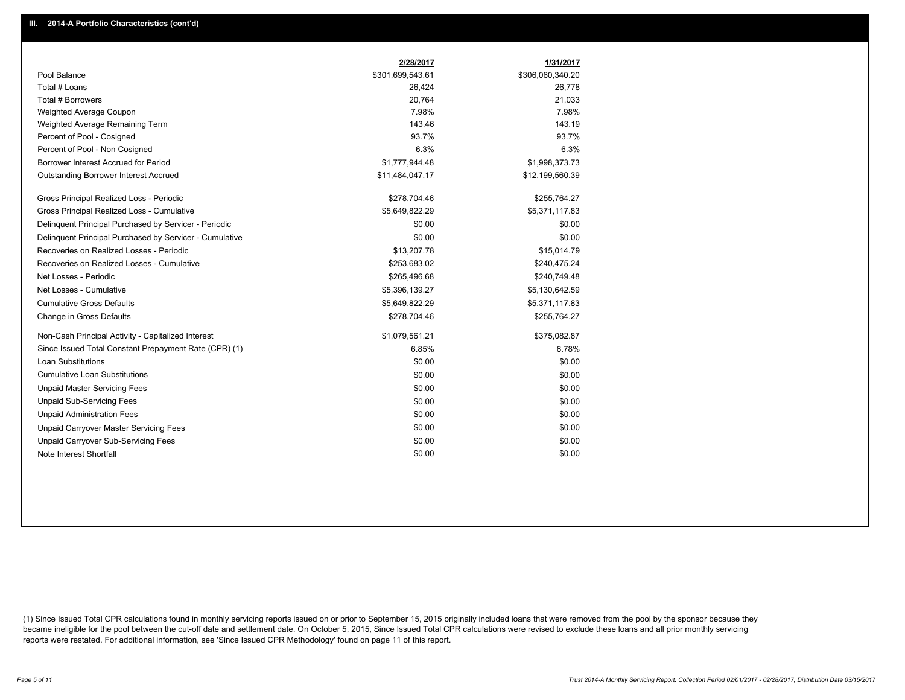|                                                         | 2/28/2017        | 1/31/2017        |
|---------------------------------------------------------|------------------|------------------|
| Pool Balance                                            | \$301,699,543.61 | \$306,060,340.20 |
| Total # Loans                                           | 26,424           | 26,778           |
| <b>Total # Borrowers</b>                                | 20,764           | 21,033           |
| Weighted Average Coupon                                 | 7.98%            | 7.98%            |
| Weighted Average Remaining Term                         | 143.46           | 143.19           |
| Percent of Pool - Cosigned                              | 93.7%            | 93.7%            |
| Percent of Pool - Non Cosigned                          | 6.3%             | 6.3%             |
| Borrower Interest Accrued for Period                    | \$1,777,944.48   | \$1,998,373.73   |
| Outstanding Borrower Interest Accrued                   | \$11,484,047.17  | \$12,199,560.39  |
| Gross Principal Realized Loss - Periodic                | \$278,704.46     | \$255,764.27     |
| Gross Principal Realized Loss - Cumulative              | \$5,649,822.29   | \$5,371,117.83   |
| Delinquent Principal Purchased by Servicer - Periodic   | \$0.00           | \$0.00           |
| Delinquent Principal Purchased by Servicer - Cumulative | \$0.00           | \$0.00           |
| Recoveries on Realized Losses - Periodic                | \$13,207.78      | \$15,014.79      |
| Recoveries on Realized Losses - Cumulative              | \$253,683.02     | \$240,475.24     |
| Net Losses - Periodic                                   | \$265,496.68     | \$240,749.48     |
| Net Losses - Cumulative                                 | \$5,396,139.27   | \$5,130,642.59   |
| <b>Cumulative Gross Defaults</b>                        | \$5,649,822.29   | \$5,371,117.83   |
| Change in Gross Defaults                                | \$278,704.46     | \$255,764.27     |
| Non-Cash Principal Activity - Capitalized Interest      | \$1,079,561.21   | \$375,082.87     |
| Since Issued Total Constant Prepayment Rate (CPR) (1)   | 6.85%            | 6.78%            |
| Loan Substitutions                                      | \$0.00           | \$0.00           |
| <b>Cumulative Loan Substitutions</b>                    | \$0.00           | \$0.00           |
| <b>Unpaid Master Servicing Fees</b>                     | \$0.00           | \$0.00           |
| <b>Unpaid Sub-Servicing Fees</b>                        | \$0.00           | \$0.00           |
| <b>Unpaid Administration Fees</b>                       | \$0.00           | \$0.00           |
| Unpaid Carryover Master Servicing Fees                  | \$0.00           | \$0.00           |
| <b>Unpaid Carryover Sub-Servicing Fees</b>              | \$0.00           | \$0.00           |
| Note Interest Shortfall                                 | \$0.00           | \$0.00           |

(1) Since Issued Total CPR calculations found in monthly servicing reports issued on or prior to September 15, 2015 originally included loans that were removed from the pool by the sponsor because they became ineligible for the pool between the cut-off date and settlement date. On October 5, 2015, Since Issued Total CPR calculations were revised to exclude these loans and all prior monthly servicing reports were restated. For additional information, see 'Since Issued CPR Methodology' found on page 11 of this report.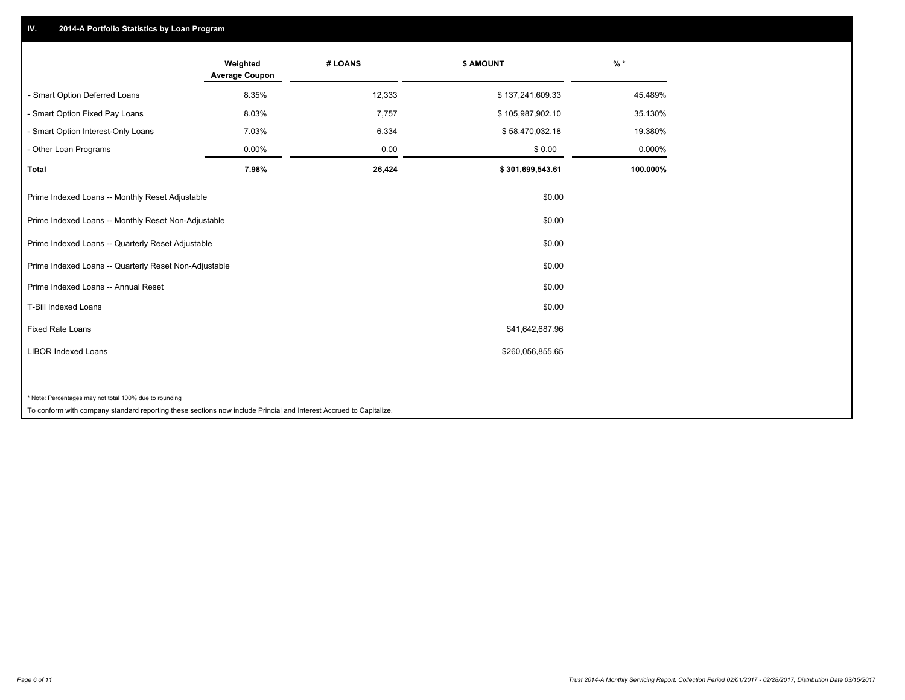## **IV. 2014-A Portfolio Statistics by Loan Program**

|                                                                                                                    | Weighted<br><b>Average Coupon</b> | # LOANS | \$ AMOUNT        | $\frac{9}{6}$ * |
|--------------------------------------------------------------------------------------------------------------------|-----------------------------------|---------|------------------|-----------------|
| - Smart Option Deferred Loans                                                                                      | 8.35%                             | 12,333  | \$137,241,609.33 | 45.489%         |
| - Smart Option Fixed Pay Loans                                                                                     | 8.03%                             | 7,757   | \$105,987,902.10 | 35.130%         |
| - Smart Option Interest-Only Loans                                                                                 | 7.03%                             | 6,334   | \$58,470,032.18  | 19.380%         |
| - Other Loan Programs                                                                                              | 0.00%                             | 0.00    | \$0.00           | 0.000%          |
| <b>Total</b>                                                                                                       | 7.98%                             | 26,424  | \$301,699,543.61 | 100.000%        |
| Prime Indexed Loans -- Monthly Reset Adjustable                                                                    |                                   |         | \$0.00           |                 |
| Prime Indexed Loans -- Monthly Reset Non-Adjustable                                                                |                                   |         | \$0.00           |                 |
| Prime Indexed Loans -- Quarterly Reset Adjustable                                                                  |                                   |         | \$0.00           |                 |
| Prime Indexed Loans -- Quarterly Reset Non-Adjustable                                                              |                                   |         | \$0.00           |                 |
| Prime Indexed Loans -- Annual Reset                                                                                |                                   |         | \$0.00           |                 |
| T-Bill Indexed Loans                                                                                               |                                   |         | \$0.00           |                 |
| <b>Fixed Rate Loans</b>                                                                                            |                                   |         | \$41,642,687.96  |                 |
| <b>LIBOR Indexed Loans</b>                                                                                         |                                   |         | \$260,056,855.65 |                 |
|                                                                                                                    |                                   |         |                  |                 |
| * Note: Percentages may not total 100% due to rounding                                                             |                                   |         |                  |                 |
| To conform with company standard reporting these sections now include Princial and Interest Accrued to Capitalize. |                                   |         |                  |                 |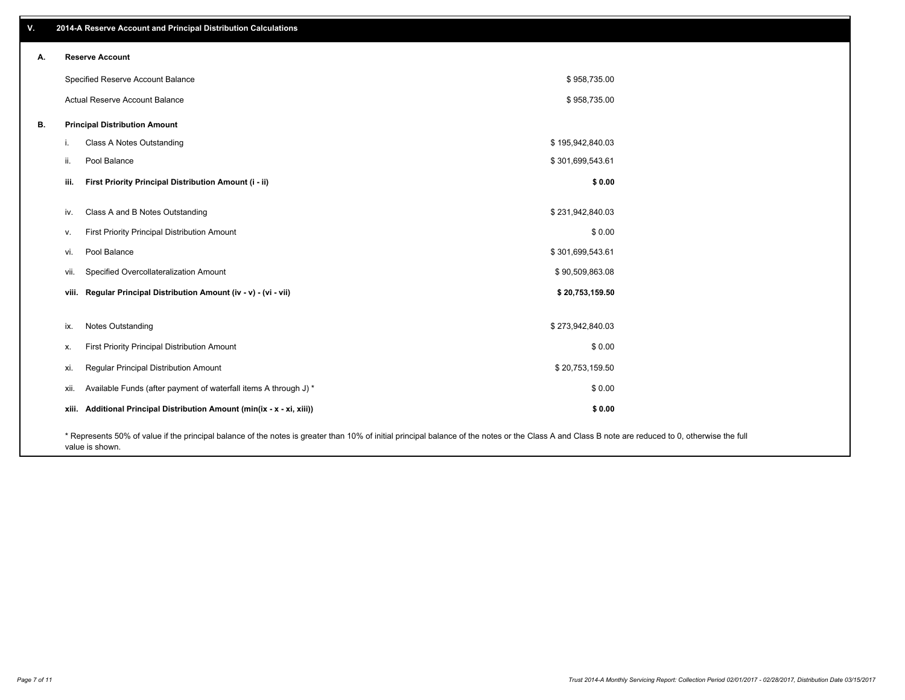| V. |       | 2014-A Reserve Account and Principal Distribution Calculations                                                                                                                                                        |                  |  |
|----|-------|-----------------------------------------------------------------------------------------------------------------------------------------------------------------------------------------------------------------------|------------------|--|
| А. |       | <b>Reserve Account</b>                                                                                                                                                                                                |                  |  |
|    |       | Specified Reserve Account Balance                                                                                                                                                                                     | \$958,735.00     |  |
|    |       | Actual Reserve Account Balance                                                                                                                                                                                        | \$958,735.00     |  |
| В. |       | <b>Principal Distribution Amount</b>                                                                                                                                                                                  |                  |  |
|    | т.    | Class A Notes Outstanding                                                                                                                                                                                             | \$195,942,840.03 |  |
|    | ii.   | Pool Balance                                                                                                                                                                                                          | \$301,699,543.61 |  |
|    | iii.  | First Priority Principal Distribution Amount (i - ii)                                                                                                                                                                 | \$0.00           |  |
|    |       |                                                                                                                                                                                                                       |                  |  |
|    | iv.   | Class A and B Notes Outstanding                                                                                                                                                                                       | \$231,942,840.03 |  |
|    | v.    | First Priority Principal Distribution Amount                                                                                                                                                                          | \$0.00           |  |
|    | vi.   | Pool Balance                                                                                                                                                                                                          | \$301,699,543.61 |  |
|    | vii.  | Specified Overcollateralization Amount                                                                                                                                                                                | \$90,509,863.08  |  |
|    |       | viii. Regular Principal Distribution Amount (iv - v) - (vi - vii)                                                                                                                                                     | \$20,753,159.50  |  |
|    |       |                                                                                                                                                                                                                       |                  |  |
|    | ix.   | Notes Outstanding                                                                                                                                                                                                     | \$273,942,840.03 |  |
|    | Х.    | First Priority Principal Distribution Amount                                                                                                                                                                          | \$0.00           |  |
|    | xi.   | Regular Principal Distribution Amount                                                                                                                                                                                 | \$20,753,159.50  |  |
|    | xii.  | Available Funds (after payment of waterfall items A through J) *                                                                                                                                                      | \$0.00           |  |
|    | xiii. | Additional Principal Distribution Amount (min(ix - x - xi, xiii))                                                                                                                                                     | \$0.00           |  |
|    |       | * Represents 50% of value if the principal balance of the notes is greater than 10% of initial principal balance of the notes or the Class A and Class B note are reduced to 0, otherwise the full<br>value is shown. |                  |  |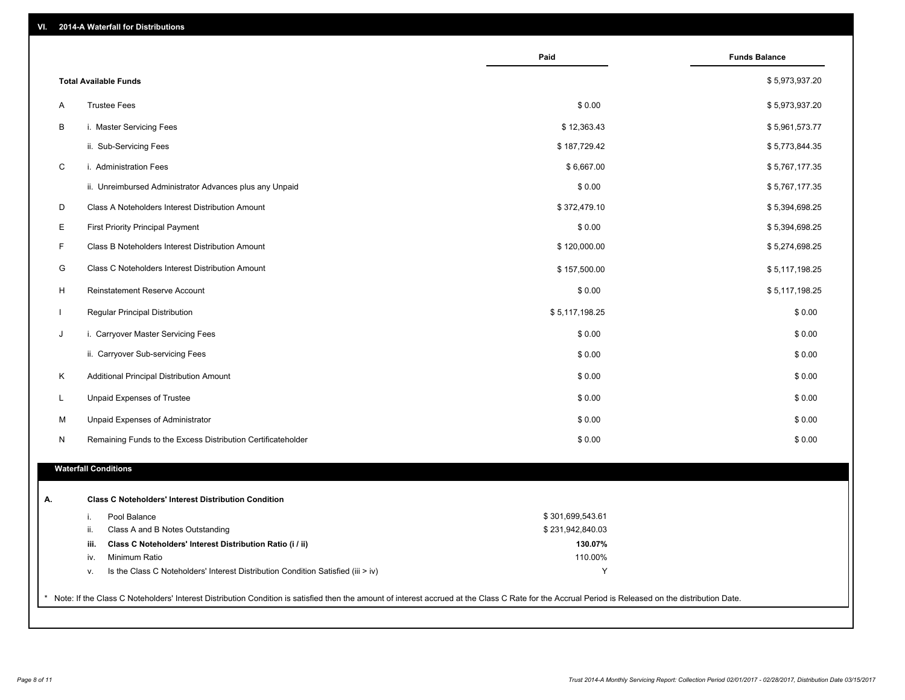| VI. |  | 2014-A Waterfall for Distributions |  |  |  |
|-----|--|------------------------------------|--|--|--|
|-----|--|------------------------------------|--|--|--|

|                                                                                        | Paid             | <b>Funds Balance</b> |
|----------------------------------------------------------------------------------------|------------------|----------------------|
| <b>Total Available Funds</b>                                                           |                  | \$5,973,937.20       |
| <b>Trustee Fees</b><br>Α                                                               | \$0.00           | \$5,973,937.20       |
| B<br>i. Master Servicing Fees                                                          | \$12,363.43      | \$5,961,573.77       |
| ii. Sub-Servicing Fees                                                                 | \$187,729.42     | \$5,773,844.35       |
| $\mathsf C$<br>i. Administration Fees                                                  | \$6,667.00       | \$5,767,177.35       |
| ii. Unreimbursed Administrator Advances plus any Unpaid                                | \$0.00           | \$5,767,177.35       |
| D<br>Class A Noteholders Interest Distribution Amount                                  | \$372,479.10     | \$5,394,698.25       |
| Е<br><b>First Priority Principal Payment</b>                                           | \$0.00           | \$5,394,698.25       |
| F<br>Class B Noteholders Interest Distribution Amount                                  | \$120,000.00     | \$5,274,698.25       |
| G<br><b>Class C Noteholders Interest Distribution Amount</b>                           | \$157,500.00     | \$5,117,198.25       |
| H<br>Reinstatement Reserve Account                                                     | \$0.00           | \$5,117,198.25       |
| $\mathbf{I}$<br>Regular Principal Distribution                                         | \$5,117,198.25   | \$0.00               |
| J<br>i. Carryover Master Servicing Fees                                                | \$0.00           | \$0.00               |
| ii. Carryover Sub-servicing Fees                                                       | \$0.00           | \$0.00               |
| Κ<br>Additional Principal Distribution Amount                                          | \$0.00           | \$0.00               |
| L<br>Unpaid Expenses of Trustee                                                        | \$0.00           | \$0.00               |
| M<br>Unpaid Expenses of Administrator                                                  | \$0.00           | \$0.00               |
| N<br>Remaining Funds to the Excess Distribution Certificateholder                      | \$0.00           | \$0.00               |
|                                                                                        |                  |                      |
| <b>Waterfall Conditions</b>                                                            |                  |                      |
| <b>Class C Noteholders' Interest Distribution Condition</b>                            |                  |                      |
| Pool Balance<br>i.                                                                     | \$301,699,543.61 |                      |
| ii.<br>Class A and B Notes Outstanding                                                 | \$231,942,840.03 |                      |
| Class C Noteholders' Interest Distribution Ratio (i / ii)<br>iii.                      | 130.07%          |                      |
| Minimum Ratio<br>iv.                                                                   | 110.00%          |                      |
| Is the Class C Noteholders' Interest Distribution Condition Satisfied (iii > iv)<br>٧. | Y                |                      |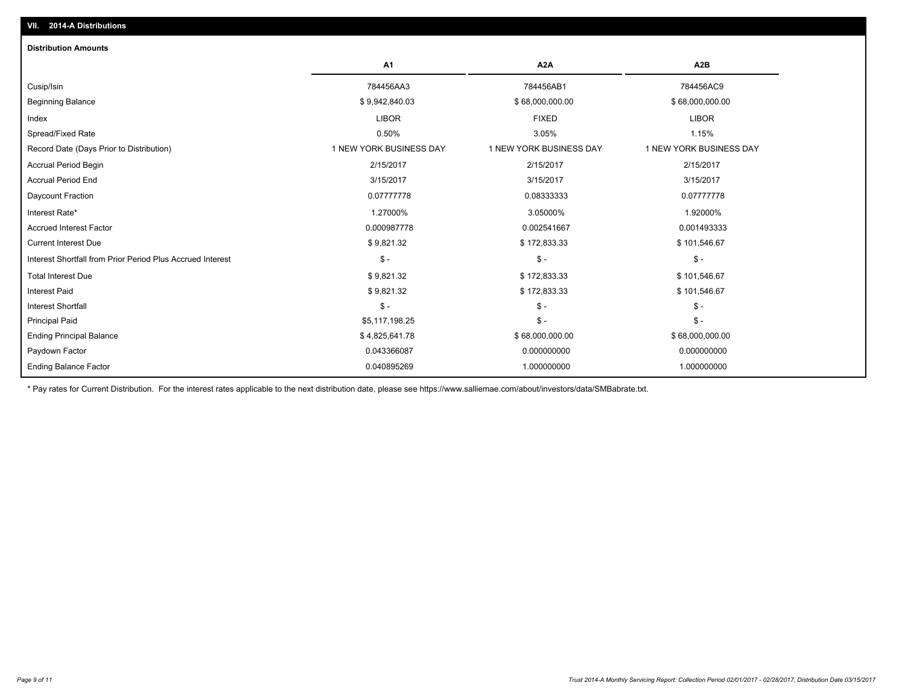| <b>Distribution Amounts</b>                                |                         |                         |                         |
|------------------------------------------------------------|-------------------------|-------------------------|-------------------------|
|                                                            | A1                      | A <sub>2</sub> A        | A <sub>2</sub> B        |
| Cusip/Isin                                                 | 784456AA3               | 784456AB1               | 784456AC9               |
| <b>Beginning Balance</b>                                   | \$9,942,840.03          | \$68,000,000.00         | \$68,000,000.00         |
| Index                                                      | <b>LIBOR</b>            | <b>FIXED</b>            | <b>LIBOR</b>            |
| Spread/Fixed Rate                                          | 0.50%                   | 3.05%                   | 1.15%                   |
| Record Date (Days Prior to Distribution)                   | 1 NEW YORK BUSINESS DAY | 1 NEW YORK BUSINESS DAY | 1 NEW YORK BUSINESS DAY |
| <b>Accrual Period Begin</b>                                | 2/15/2017               | 2/15/2017               | 2/15/2017               |
| <b>Accrual Period End</b>                                  | 3/15/2017               | 3/15/2017               | 3/15/2017               |
| Daycount Fraction                                          | 0.07777778              | 0.08333333              | 0.07777778              |
| Interest Rate*                                             | 1.27000%                | 3.05000%                | 1.92000%                |
| <b>Accrued Interest Factor</b>                             | 0.000987778             | 0.002541667             | 0.001493333             |
| <b>Current Interest Due</b>                                | \$9,821.32              | \$172,833.33            | \$101,546.67            |
| Interest Shortfall from Prior Period Plus Accrued Interest | $\mathsf{\$}$ -         | $\mathsf{\$}$ -         | $\mathcal{S}$ -         |
| <b>Total Interest Due</b>                                  | \$9,821.32              | \$172,833.33            | \$101,546.67            |
| <b>Interest Paid</b>                                       | \$9,821.32              | \$172,833.33            | \$101,546.67            |
| <b>Interest Shortfall</b>                                  | $\mathsf{\$}$ -         | $\mathsf{\$}$ -         | $\mathsf{\$}$ -         |
| <b>Principal Paid</b>                                      | \$5,117,198.25          | $\mathsf{\$}$ -         | $\mathsf{\$}$ -         |
| <b>Ending Principal Balance</b>                            | \$4,825,641.78          | \$68,000,000.00         | \$68,000,000.00         |
| Paydown Factor                                             | 0.043366087             | 0.000000000             | 0.000000000             |
| <b>Ending Balance Factor</b>                               | 0.040895269             | 1.000000000             | 1.000000000             |

\* Pay rates for Current Distribution. For the interest rates applicable to the next distribution date, please see https://www.salliemae.com/about/investors/data/SMBabrate.txt.

**VII. 2014-A Distributions**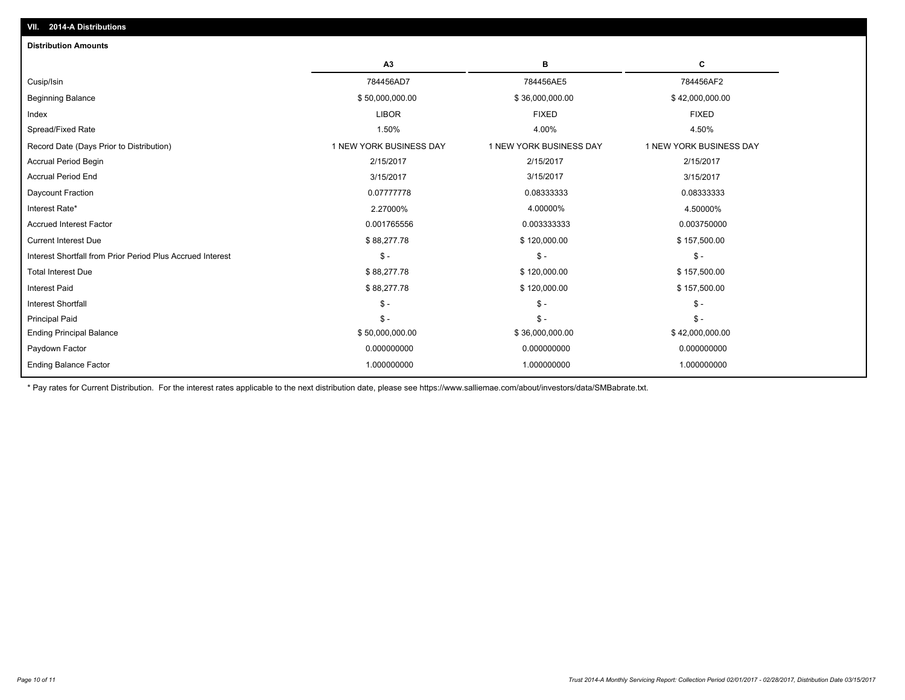| A3                      | в                       | С                       |
|-------------------------|-------------------------|-------------------------|
| 784456AD7               | 784456AE5               | 784456AF2               |
| \$50,000,000.00         | \$36,000,000.00         | \$42,000,000.00         |
| <b>LIBOR</b>            | <b>FIXED</b>            | <b>FIXED</b>            |
| 1.50%                   | 4.00%                   | 4.50%                   |
| 1 NEW YORK BUSINESS DAY | 1 NEW YORK BUSINESS DAY | 1 NEW YORK BUSINESS DAY |
| 2/15/2017               | 2/15/2017               | 2/15/2017               |
| 3/15/2017               | 3/15/2017               | 3/15/2017               |
| 0.07777778              | 0.08333333              | 0.08333333              |
| 2.27000%                | 4.00000%                | 4.50000%                |
| 0.001765556             | 0.003333333             | 0.003750000             |
| \$88,277.78             | \$120,000.00            | \$157,500.00            |
| $\mathsf{\$}$ -         | $\mathsf{\$}$ -         | $\frac{2}{3}$ -         |
| \$88,277.78             | \$120,000.00            | \$157,500.00            |
| \$88,277.78             | \$120,000.00            | \$157,500.00            |
| $\mathsf{\$}$ -         | $\mathsf{\$}$ -         | $S -$                   |
| $\mathsf{\$}$ -         | $\mathsf{\$}$ -         | $S -$                   |
| \$50,000,000.00         | \$36,000,000.00         | \$42,000,000.00         |
| 0.000000000             | 0.000000000             | 0.000000000             |
| 1.000000000             | 1.000000000             | 1.000000000             |
|                         |                         |                         |

\* Pay rates for Current Distribution. For the interest rates applicable to the next distribution date, please see https://www.salliemae.com/about/investors/data/SMBabrate.txt.

**VII. 2014-A Distributions**